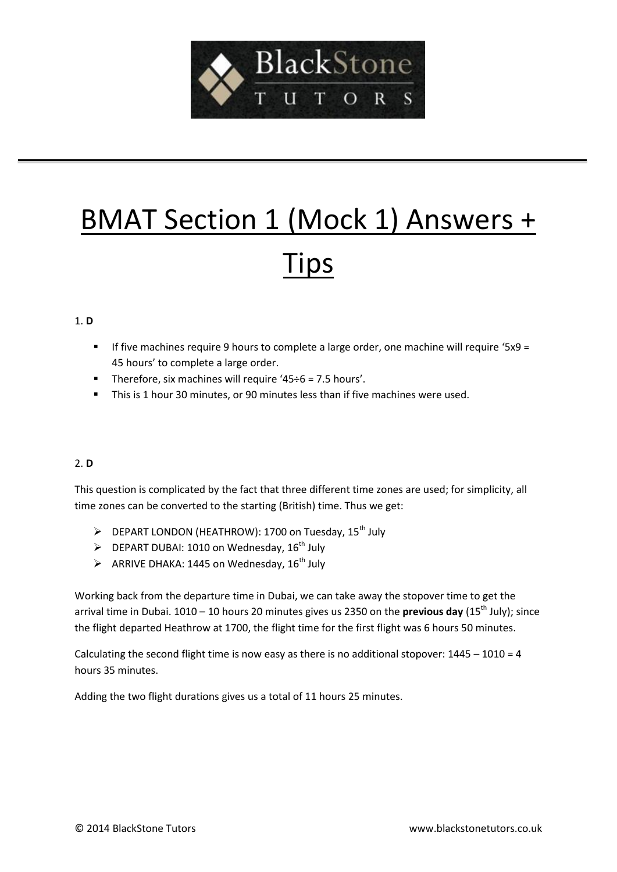

# BMAT Section 1 (Mock 1) Answers + Tips

#### 1. **D**

- If five machines require 9 hours to complete a large order, one machine will require '5x9 = 45 hours' to complete a large order.
- Therefore, six machines will require ' $45\div 6 = 7.5$  hours'.
- This is 1 hour 30 minutes, or 90 minutes less than if five machines were used.

# 2. **D**

This question is complicated by the fact that three different time zones are used; for simplicity, all time zones can be converted to the starting (British) time. Thus we get:

- > DEPART LONDON (HEATHROW): 1700 on Tuesday, 15<sup>th</sup> July
- $\triangleright$  DEPART DUBAI: 1010 on Wednesday, 16<sup>th</sup> July
- $\triangleright$  ARRIVE DHAKA: 1445 on Wednesday, 16<sup>th</sup> July

Working back from the departure time in Dubai, we can take away the stopover time to get the arrival time in Dubai. 1010 – 10 hours 20 minutes gives us 2350 on the **previous day** (15<sup>th</sup> July); since the flight departed Heathrow at 1700, the flight time for the first flight was 6 hours 50 minutes.

Calculating the second flight time is now easy as there is no additional stopover:  $1445 - 1010 = 4$ hours 35 minutes.

Adding the two flight durations gives us a total of 11 hours 25 minutes.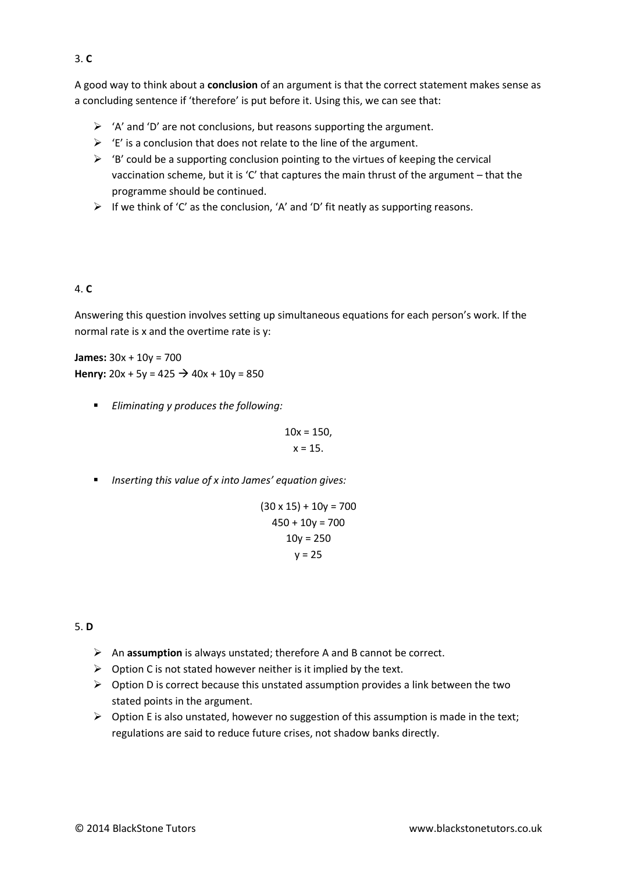A good way to think about a **conclusion** of an argument is that the correct statement makes sense as a concluding sentence if 'therefore' is put before it. Using this, we can see that:

- $\triangleright$  'A' and 'D' are not conclusions, but reasons supporting the argument.
- $\triangleright$  'E' is a conclusion that does not relate to the line of the argument.
- $\triangleright$  'B' could be a supporting conclusion pointing to the virtues of keeping the cervical vaccination scheme, but it is 'C' that captures the main thrust of the argument – that the programme should be continued.
- $\triangleright$  If we think of 'C' as the conclusion, 'A' and 'D' fit neatly as supporting reasons.

## 4. **C**

Answering this question involves setting up simultaneous equations for each person's work. If the normal rate is x and the overtime rate is y:

**James:** 30x + 10y = 700 **Henry:**  $20x + 5y = 425 \rightarrow 40x + 10y = 850$ 

*Eliminating y produces the following:* 

$$
10x = 150,
$$
  

$$
x = 15.
$$

*Inserting this value of x into James' equation gives:*

$$
(30 \times 15) + 10y = 700
$$
  

$$
450 + 10y = 700
$$
  

$$
10y = 250
$$
  

$$
y = 25
$$

#### 5. **D**

- An **assumption** is always unstated; therefore A and B cannot be correct.
- $\triangleright$  Option C is not stated however neither is it implied by the text.
- $\triangleright$  Option D is correct because this unstated assumption provides a link between the two stated points in the argument.
- $\triangleright$  Option E is also unstated, however no suggestion of this assumption is made in the text; regulations are said to reduce future crises, not shadow banks directly.

#### 3. **C**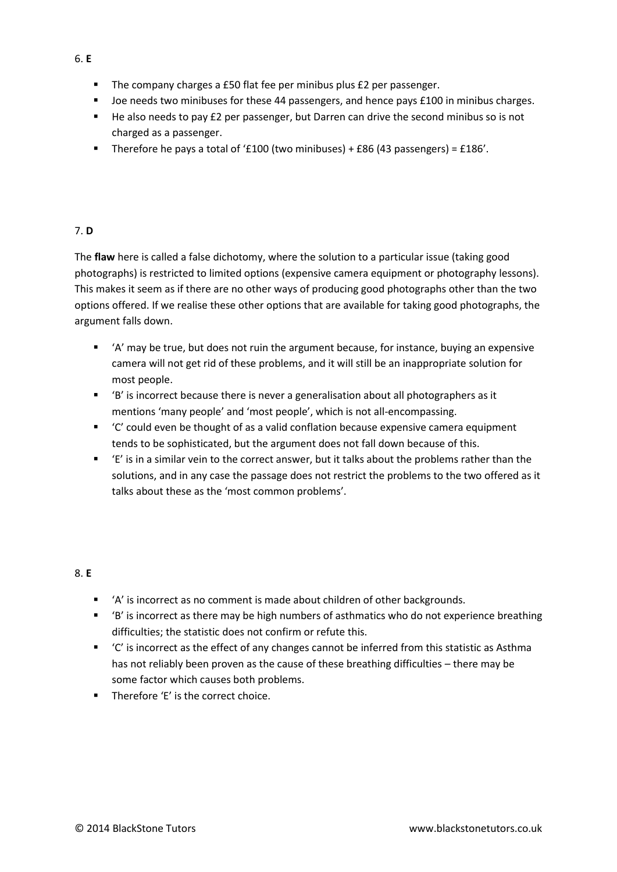- The company charges a £50 flat fee per minibus plus £2 per passenger.
- De needs two minibuses for these 44 passengers, and hence pays £100 in minibus charges.
- He also needs to pay £2 per passenger, but Darren can drive the second minibus so is not charged as a passenger.
- Therefore he pays a total of '£100 (two minibuses) + £86 (43 passengers) = £186'.

## 7. **D**

The **flaw** here is called a false dichotomy, where the solution to a particular issue (taking good photographs) is restricted to limited options (expensive camera equipment or photography lessons). This makes it seem as if there are no other ways of producing good photographs other than the two options offered. If we realise these other options that are available for taking good photographs, the argument falls down.

- 'A' may be true, but does not ruin the argument because, for instance, buying an expensive camera will not get rid of these problems, and it will still be an inappropriate solution for most people.
- 'B' is incorrect because there is never a generalisation about all photographers as it mentions 'many people' and 'most people', which is not all-encompassing.
- 'C' could even be thought of as a valid conflation because expensive camera equipment tends to be sophisticated, but the argument does not fall down because of this.
- 'E' is in a similar vein to the correct answer, but it talks about the problems rather than the solutions, and in any case the passage does not restrict the problems to the two offered as it talks about these as the 'most common problems'.

# 8. **E**

- 'A' is incorrect as no comment is made about children of other backgrounds.
- 'B' is incorrect as there may be high numbers of asthmatics who do not experience breathing difficulties; the statistic does not confirm or refute this.
- 'C' is incorrect as the effect of any changes cannot be inferred from this statistic as Asthma has not reliably been proven as the cause of these breathing difficulties – there may be some factor which causes both problems.
- **Therefore 'E' is the correct choice.**

6. **E**